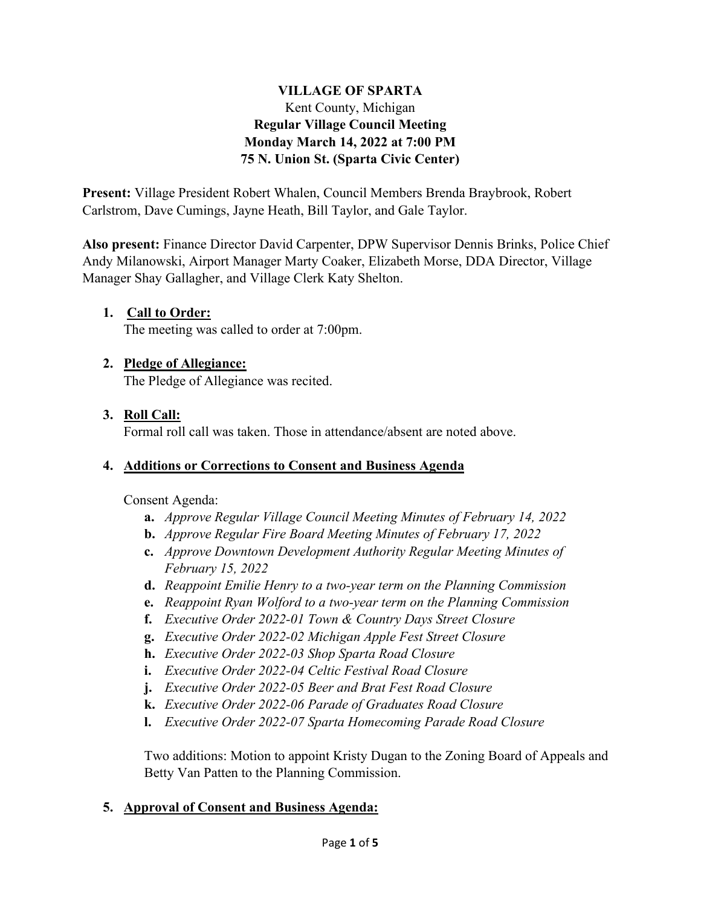### **VILLAGE OF SPARTA** Kent County, Michigan **Regular Village Council Meeting Monday March 14, 2022 at 7:00 PM 75 N. Union St. (Sparta Civic Center)**

**Present:** Village President Robert Whalen, Council Members Brenda Braybrook, Robert Carlstrom, Dave Cumings, Jayne Heath, Bill Taylor, and Gale Taylor.

**Also present:** Finance Director David Carpenter, DPW Supervisor Dennis Brinks, Police Chief Andy Milanowski, Airport Manager Marty Coaker, Elizabeth Morse, DDA Director, Village Manager Shay Gallagher, and Village Clerk Katy Shelton.

### **1. Call to Order:**

The meeting was called to order at 7:00pm.

### **2. Pledge of Allegiance:**

The Pledge of Allegiance was recited.

### **3. Roll Call:**

Formal roll call was taken. Those in attendance/absent are noted above.

### **4. Additions or Corrections to Consent and Business Agenda**

Consent Agenda:

- **a.** *Approve Regular Village Council Meeting Minutes of February 14, 2022*
- **b.** *Approve Regular Fire Board Meeting Minutes of February 17, 2022*
- **c.** *Approve Downtown Development Authority Regular Meeting Minutes of February 15, 2022*
- **d.** *Reappoint Emilie Henry to a two-year term on the Planning Commission*
- **e.** *Reappoint Ryan Wolford to a two-year term on the Planning Commission*
- **f.** *Executive Order 2022-01 Town & Country Days Street Closure*
- **g.** *Executive Order 2022-02 Michigan Apple Fest Street Closure*
- **h.** *Executive Order 2022-03 Shop Sparta Road Closure*
- **i.** *Executive Order 2022-04 Celtic Festival Road Closure*
- **j.** *Executive Order 2022-05 Beer and Brat Fest Road Closure*
- **k.** *Executive Order 2022-06 Parade of Graduates Road Closure*
- **l.** *Executive Order 2022-07 Sparta Homecoming Parade Road Closure*

Two additions: Motion to appoint Kristy Dugan to the Zoning Board of Appeals and Betty Van Patten to the Planning Commission.

### **5. Approval of Consent and Business Agenda:**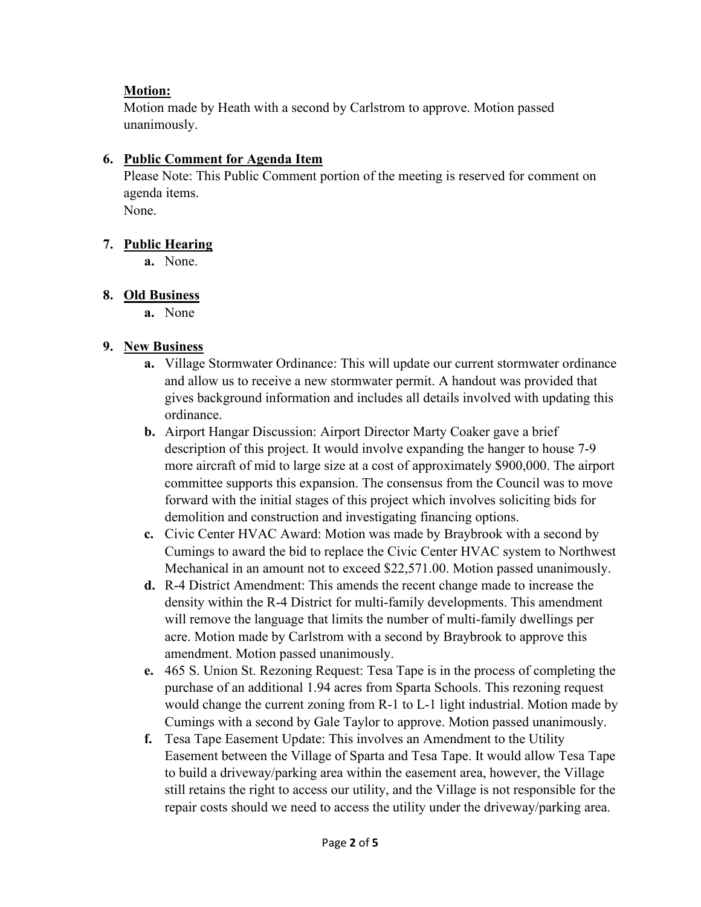## **Motion:**

Motion made by Heath with a second by Carlstrom to approve. Motion passed unanimously.

## **6. Public Comment for Agenda Item**

Please Note: This Public Comment portion of the meeting is reserved for comment on agenda items.

None.

# **7. Public Hearing**

**a.** None.

# **8. Old Business**

**a.** None

# **9. New Business**

- **a.** Village Stormwater Ordinance: This will update our current stormwater ordinance and allow us to receive a new stormwater permit. A handout was provided that gives background information and includes all details involved with updating this ordinance.
- **b.** Airport Hangar Discussion: Airport Director Marty Coaker gave a brief description of this project. It would involve expanding the hanger to house 7-9 more aircraft of mid to large size at a cost of approximately \$900,000. The airport committee supports this expansion. The consensus from the Council was to move forward with the initial stages of this project which involves soliciting bids for demolition and construction and investigating financing options.
- **c.** Civic Center HVAC Award: Motion was made by Braybrook with a second by Cumings to award the bid to replace the Civic Center HVAC system to Northwest Mechanical in an amount not to exceed \$22,571.00. Motion passed unanimously.
- **d.** R-4 District Amendment: This amends the recent change made to increase the density within the R-4 District for multi-family developments. This amendment will remove the language that limits the number of multi-family dwellings per acre. Motion made by Carlstrom with a second by Braybrook to approve this amendment. Motion passed unanimously.
- **e.** 465 S. Union St. Rezoning Request: Tesa Tape is in the process of completing the purchase of an additional 1.94 acres from Sparta Schools. This rezoning request would change the current zoning from R-1 to L-1 light industrial. Motion made by Cumings with a second by Gale Taylor to approve. Motion passed unanimously.
- **f.** Tesa Tape Easement Update: This involves an Amendment to the Utility Easement between the Village of Sparta and Tesa Tape. It would allow Tesa Tape to build a driveway/parking area within the easement area, however, the Village still retains the right to access our utility, and the Village is not responsible for the repair costs should we need to access the utility under the driveway/parking area.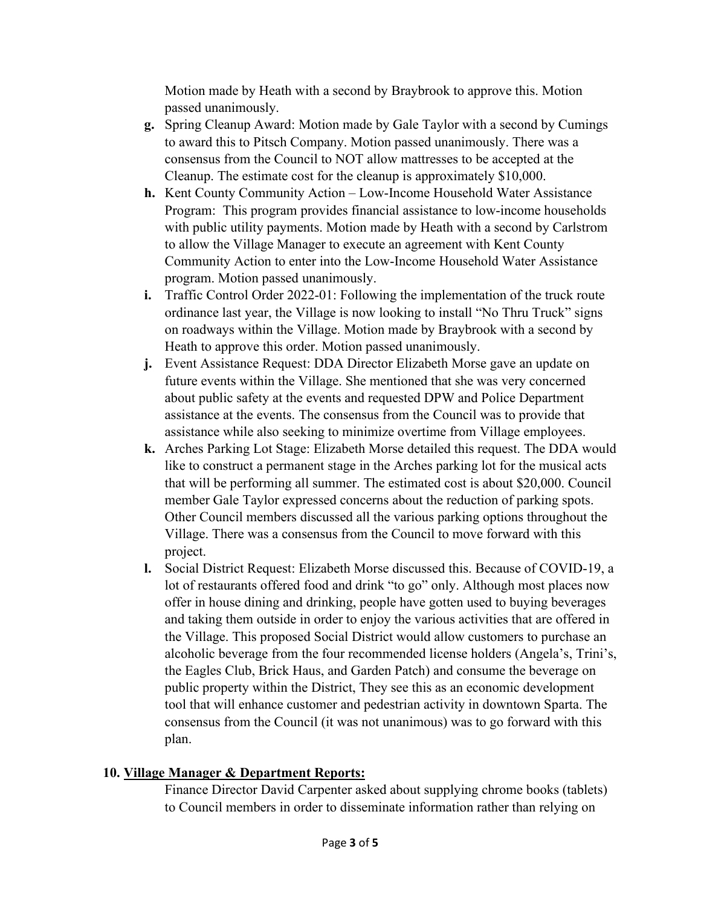Motion made by Heath with a second by Braybrook to approve this. Motion passed unanimously.

- **g.** Spring Cleanup Award: Motion made by Gale Taylor with a second by Cumings to award this to Pitsch Company. Motion passed unanimously. There was a consensus from the Council to NOT allow mattresses to be accepted at the Cleanup. The estimate cost for the cleanup is approximately \$10,000.
- **h.** Kent County Community Action Low-Income Household Water Assistance Program: This program provides financial assistance to low-income households with public utility payments. Motion made by Heath with a second by Carlstrom to allow the Village Manager to execute an agreement with Kent County Community Action to enter into the Low-Income Household Water Assistance program. Motion passed unanimously.
- **i.** Traffic Control Order 2022-01: Following the implementation of the truck route ordinance last year, the Village is now looking to install "No Thru Truck" signs on roadways within the Village. Motion made by Braybrook with a second by Heath to approve this order. Motion passed unanimously.
- **j.** Event Assistance Request: DDA Director Elizabeth Morse gave an update on future events within the Village. She mentioned that she was very concerned about public safety at the events and requested DPW and Police Department assistance at the events. The consensus from the Council was to provide that assistance while also seeking to minimize overtime from Village employees.
- **k.** Arches Parking Lot Stage: Elizabeth Morse detailed this request. The DDA would like to construct a permanent stage in the Arches parking lot for the musical acts that will be performing all summer. The estimated cost is about \$20,000. Council member Gale Taylor expressed concerns about the reduction of parking spots. Other Council members discussed all the various parking options throughout the Village. There was a consensus from the Council to move forward with this project.
- **l.** Social District Request: Elizabeth Morse discussed this. Because of COVID-19, a lot of restaurants offered food and drink "to go" only. Although most places now offer in house dining and drinking, people have gotten used to buying beverages and taking them outside in order to enjoy the various activities that are offered in the Village. This proposed Social District would allow customers to purchase an alcoholic beverage from the four recommended license holders (Angela's, Trini's, the Eagles Club, Brick Haus, and Garden Patch) and consume the beverage on public property within the District, They see this as an economic development tool that will enhance customer and pedestrian activity in downtown Sparta. The consensus from the Council (it was not unanimous) was to go forward with this plan.

### **10. Village Manager & Department Reports:**

Finance Director David Carpenter asked about supplying chrome books (tablets) to Council members in order to disseminate information rather than relying on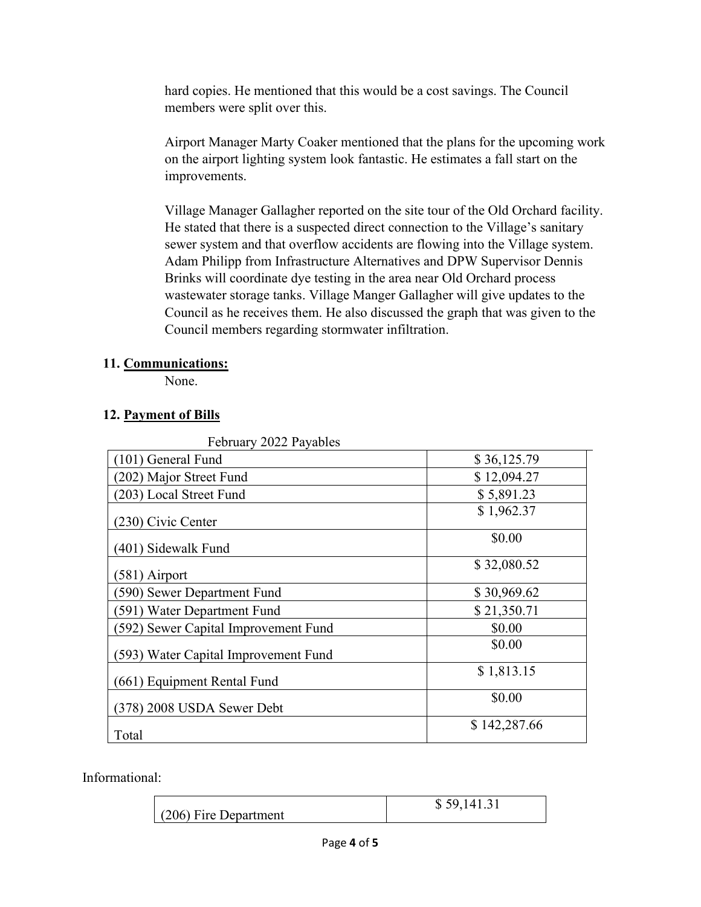hard copies. He mentioned that this would be a cost savings. The Council members were split over this.

Airport Manager Marty Coaker mentioned that the plans for the upcoming work on the airport lighting system look fantastic. He estimates a fall start on the improvements.

Village Manager Gallagher reported on the site tour of the Old Orchard facility. He stated that there is a suspected direct connection to the Village's sanitary sewer system and that overflow accidents are flowing into the Village system. Adam Philipp from Infrastructure Alternatives and DPW Supervisor Dennis Brinks will coordinate dye testing in the area near Old Orchard process wastewater storage tanks. Village Manger Gallagher will give updates to the Council as he receives them. He also discussed the graph that was given to the Council members regarding stormwater infiltration.

### **11. Communications:**

None.

### **12. Payment of Bills**

| February 2022 Payables               |              |
|--------------------------------------|--------------|
| (101) General Fund                   | \$36,125.79  |
| (202) Major Street Fund              | \$12,094.27  |
| (203) Local Street Fund              | \$5,891.23   |
| (230) Civic Center                   | \$1,962.37   |
| (401) Sidewalk Fund                  | \$0.00       |
| (581) Airport                        | \$32,080.52  |
| (590) Sewer Department Fund          | \$30,969.62  |
| (591) Water Department Fund          | \$21,350.71  |
| (592) Sewer Capital Improvement Fund | \$0.00       |
| (593) Water Capital Improvement Fund | \$0.00       |
| (661) Equipment Rental Fund          | \$1,813.15   |
| (378) 2008 USDA Sewer Debt           | \$0.00       |
| Total                                | \$142,287.66 |

Informational:

| $(206)$ Fire Department | \$59,141.31 |
|-------------------------|-------------|
|-------------------------|-------------|